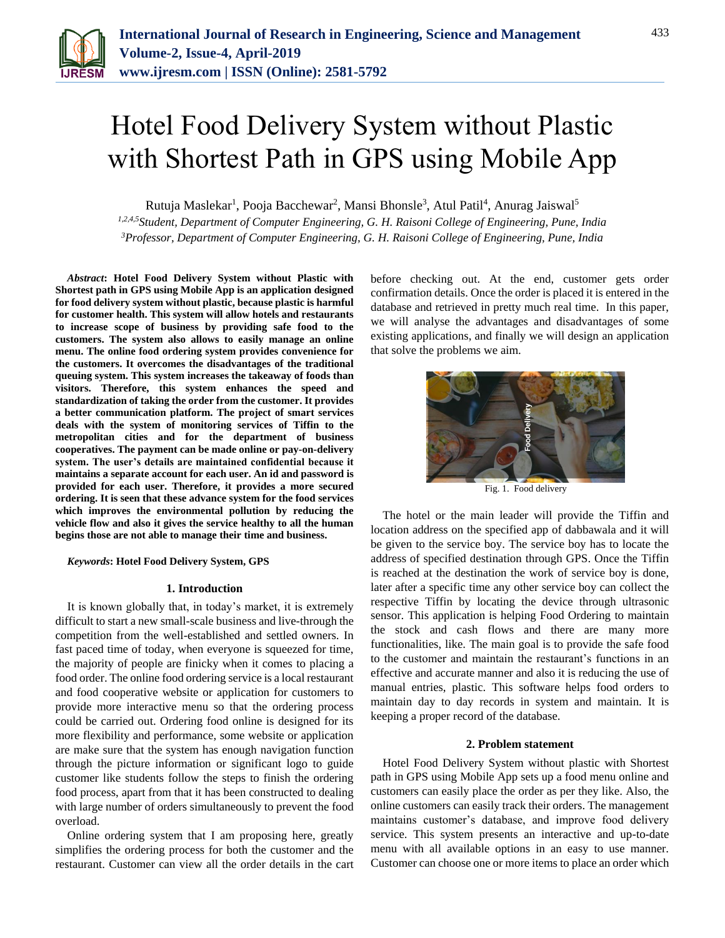

# Hotel Food Delivery System without Plastic with Shortest Path in GPS using Mobile App

Rutuja Maslekar<sup>1</sup>, Pooja Bacchewar<sup>2</sup>, Mansi Bhonsle<sup>3</sup>, Atul Patil<sup>4</sup>, Anurag Jaiswal<sup>5</sup>

*1,2,4,5Student, Department of Computer Engineering, G. H. Raisoni College of Engineering, Pune, India 3Professor, Department of Computer Engineering, G. H. Raisoni College of Engineering, Pune, India*

*Abstract***: Hotel Food Delivery System without Plastic with Shortest path in GPS using Mobile App is an application designed for food delivery system without plastic, because plastic is harmful for customer health. This system will allow hotels and restaurants to increase scope of business by providing safe food to the customers. The system also allows to easily manage an online menu. The online food ordering system provides convenience for the customers. It overcomes the disadvantages of the traditional queuing system. This system increases the takeaway of foods than visitors. Therefore, this system enhances the speed and standardization of taking the order from the customer. It provides a better communication platform. The project of smart services deals with the system of monitoring services of Tiffin to the metropolitan cities and for the department of business cooperatives. The payment can be made online or pay-on-delivery system. The user's details are maintained confidential because it maintains a separate account for each user. An id and password is provided for each user. Therefore, it provides a more secured ordering. It is seen that these advance system for the food services which improves the environmental pollution by reducing the vehicle flow and also it gives the service healthy to all the human begins those are not able to manage their time and business.**

### *Keywords***: Hotel Food Delivery System, GPS**

## **1. Introduction**

It is known globally that, in today's market, it is extremely difficult to start a new small-scale business and live-through the competition from the well-established and settled owners. In fast paced time of today, when everyone is squeezed for time, the majority of people are finicky when it comes to placing a food order. The online food ordering service is a local restaurant and food cooperative website or application for customers to provide more interactive menu so that the ordering process could be carried out. Ordering food online is designed for its more flexibility and performance, some website or application are make sure that the system has enough navigation function through the picture information or significant logo to guide customer like students follow the steps to finish the ordering food process, apart from that it has been constructed to dealing with large number of orders simultaneously to prevent the food overload.

Online ordering system that I am proposing here, greatly simplifies the ordering process for both the customer and the restaurant. Customer can view all the order details in the cart

before checking out. At the end, customer gets order confirmation details. Once the order is placed it is entered in the database and retrieved in pretty much real time. In this paper, we will analyse the advantages and disadvantages of some existing applications, and finally we will design an application that solve the problems we aim.



Fig. 1. Food delivery

The hotel or the main leader will provide the Tiffin and location address on the specified app of dabbawala and it will be given to the service boy. The service boy has to locate the address of specified destination through GPS. Once the Tiffin is reached at the destination the work of service boy is done, later after a specific time any other service boy can collect the respective Tiffin by locating the device through ultrasonic sensor. This application is helping Food Ordering to maintain the stock and cash flows and there are many more functionalities, like. The main goal is to provide the safe food to the customer and maintain the restaurant's functions in an effective and accurate manner and also it is reducing the use of manual entries, plastic. This software helps food orders to maintain day to day records in system and maintain. It is keeping a proper record of the database.

## **2. Problem statement**

Hotel Food Delivery System without plastic with Shortest path in GPS using Mobile App sets up a food menu online and customers can easily place the order as per they like. Also, the online customers can easily track their orders. The management maintains customer's database, and improve food delivery service. This system presents an interactive and up-to-date menu with all available options in an easy to use manner. Customer can choose one or more items to place an order which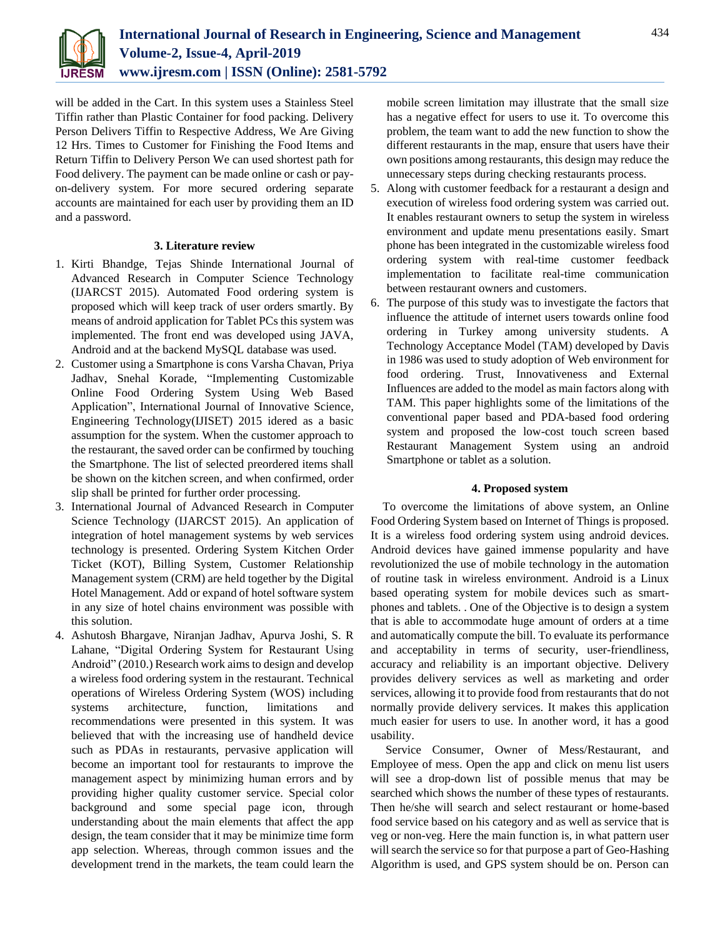

will be added in the Cart. In this system uses a Stainless Steel Tiffin rather than Plastic Container for food packing. Delivery Person Delivers Tiffin to Respective Address, We Are Giving 12 Hrs. Times to Customer for Finishing the Food Items and Return Tiffin to Delivery Person We can used shortest path for Food delivery. The payment can be made online or cash or payon-delivery system. For more secured ordering separate accounts are maintained for each user by providing them an ID and a password.

# **3. Literature review**

- 1. Kirti Bhandge, Tejas Shinde International Journal of Advanced Research in Computer Science Technology (IJARCST 2015). Automated Food ordering system is proposed which will keep track of user orders smartly. By means of android application for Tablet PCs this system was implemented. The front end was developed using JAVA, Android and at the backend MySQL database was used.
- 2. Customer using a Smartphone is cons Varsha Chavan, Priya Jadhav, Snehal Korade, "Implementing Customizable Online Food Ordering System Using Web Based Application", International Journal of Innovative Science, Engineering Technology(IJISET) 2015 idered as a basic assumption for the system. When the customer approach to the restaurant, the saved order can be confirmed by touching the Smartphone. The list of selected preordered items shall be shown on the kitchen screen, and when confirmed, order slip shall be printed for further order processing.
- 3. International Journal of Advanced Research in Computer Science Technology (IJARCST 2015). An application of integration of hotel management systems by web services technology is presented. Ordering System Kitchen Order Ticket (KOT), Billing System, Customer Relationship Management system (CRM) are held together by the Digital Hotel Management. Add or expand of hotel software system in any size of hotel chains environment was possible with this solution.
- 4. Ashutosh Bhargave, Niranjan Jadhav, Apurva Joshi, S. R Lahane, "Digital Ordering System for Restaurant Using Android" (2010.) Research work aims to design and develop a wireless food ordering system in the restaurant. Technical operations of Wireless Ordering System (WOS) including systems architecture, function, limitations and recommendations were presented in this system. It was believed that with the increasing use of handheld device such as PDAs in restaurants, pervasive application will become an important tool for restaurants to improve the management aspect by minimizing human errors and by providing higher quality customer service. Special color background and some special page icon, through understanding about the main elements that affect the app design, the team consider that it may be minimize time form app selection. Whereas, through common issues and the development trend in the markets, the team could learn the

mobile screen limitation may illustrate that the small size has a negative effect for users to use it. To overcome this problem, the team want to add the new function to show the different restaurants in the map, ensure that users have their own positions among restaurants, this design may reduce the unnecessary steps during checking restaurants process.

- 5. Along with customer feedback for a restaurant a design and execution of wireless food ordering system was carried out. It enables restaurant owners to setup the system in wireless environment and update menu presentations easily. Smart phone has been integrated in the customizable wireless food ordering system with real-time customer feedback implementation to facilitate real-time communication between restaurant owners and customers.
- 6. The purpose of this study was to investigate the factors that influence the attitude of internet users towards online food ordering in Turkey among university students. A Technology Acceptance Model (TAM) developed by Davis in 1986 was used to study adoption of Web environment for food ordering. Trust, Innovativeness and External Influences are added to the model as main factors along with TAM. This paper highlights some of the limitations of the conventional paper based and PDA-based food ordering system and proposed the low-cost touch screen based Restaurant Management System using an android Smartphone or tablet as a solution.

# **4. Proposed system**

To overcome the limitations of above system, an Online Food Ordering System based on Internet of Things is proposed. It is a wireless food ordering system using android devices. Android devices have gained immense popularity and have revolutionized the use of mobile technology in the automation of routine task in wireless environment. Android is a Linux based operating system for mobile devices such as smartphones and tablets. . One of the Objective is to design a system that is able to accommodate huge amount of orders at a time and automatically compute the bill. To evaluate its performance and acceptability in terms of security, user-friendliness, accuracy and reliability is an important objective. Delivery provides delivery services as well as marketing and order services, allowing it to provide food from restaurants that do not normally provide delivery services. It makes this application much easier for users to use. In another word, it has a good usability.

Service Consumer, Owner of Mess/Restaurant, and Employee of mess. Open the app and click on menu list users will see a drop-down list of possible menus that may be searched which shows the number of these types of restaurants. Then he/she will search and select restaurant or home-based food service based on his category and as well as service that is veg or non-veg. Here the main function is, in what pattern user will search the service so for that purpose a part of Geo-Hashing Algorithm is used, and GPS system should be on. Person can